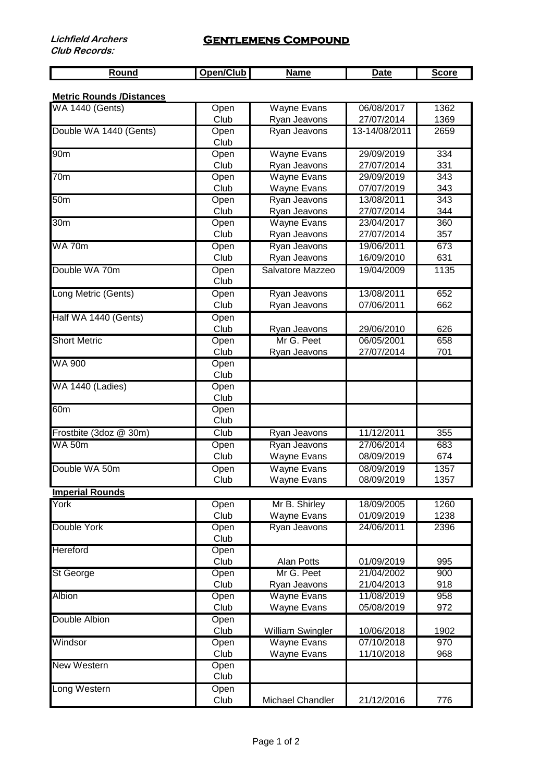| <b>Round</b> | Open/Club <sup>1</sup> | <b>Name</b> | Date | Score |
|--------------|------------------------|-------------|------|-------|

## **Metric Rounds /Distances**

| <b>WA 1440 (Gents)</b> | Open         | Wayne Evans             | 06/08/2017    | 1362             |
|------------------------|--------------|-------------------------|---------------|------------------|
|                        | Club         | Ryan Jeavons            | 27/07/2014    | 1369             |
| Double WA 1440 (Gents) | Open<br>Club | Ryan Jeavons            | 13-14/08/2011 | 2659             |
| 90 <sub>m</sub>        | Open         | <b>Wayne Evans</b>      | 29/09/2019    | 334              |
|                        | Club         | Ryan Jeavons            | 27/07/2014    | 331              |
| 70 <sub>m</sub>        | Open         | <b>Wayne Evans</b>      | 29/09/2019    | $\overline{343}$ |
|                        | Club         | Wayne Evans             | 07/07/2019    | 343              |
| 50 <sub>m</sub>        | Open         | Ryan Jeavons            | 13/08/2011    | 343              |
|                        | Club         | Ryan Jeavons            | 27/07/2014    | 344              |
| 30 <sub>m</sub>        | Open         | <b>Wayne Evans</b>      | 23/04/2017    | 360              |
|                        | Club         | Ryan Jeavons            | 27/07/2014    | 357              |
| <b>WA70m</b>           | Open         | Ryan Jeavons            | 19/06/2011    | 673              |
|                        | Club         | Ryan Jeavons            | 16/09/2010    | 631              |
| Double WA 70m          | Open<br>Club | Salvatore Mazzeo        | 19/04/2009    | 1135             |
| Long Metric (Gents)    | Open         | Ryan Jeavons            | 13/08/2011    | 652              |
|                        | Club         | Ryan Jeavons            | 07/06/2011    | 662              |
| Half WA 1440 (Gents)   | Open         |                         |               |                  |
|                        | Club         | Ryan Jeavons            | 29/06/2010    | 626              |
| <b>Short Metric</b>    | Open         | Mr G. Peet              | 06/05/2001    | 658              |
|                        | Club         | Ryan Jeavons            | 27/07/2014    | 701              |
| <b>WA 900</b>          | Open<br>Club |                         |               |                  |
| WA 1440 (Ladies)       | Open<br>Club |                         |               |                  |
| 60 <sub>m</sub>        | Open         |                         |               |                  |
|                        | Club         |                         |               |                  |
| Frostbite (3doz @ 30m) | Club         | Ryan Jeavons            | 11/12/2011    | 355              |
| <b>WA 50m</b>          | Open         | Ryan Jeavons            | 27/06/2014    | 683              |
|                        | Club         | Wayne Evans             | 08/09/2019    | 674              |
| Double WA 50m          | Open         | <b>Wayne Evans</b>      | 08/09/2019    | 1357             |
|                        | Club         | Wayne Evans             | 08/09/2019    | 1357             |
| <b>Imperial Rounds</b> |              |                         |               |                  |
| York                   | Open         | Mr B. Shirley           | 18/09/2005    | 1260             |
|                        | Club         | Wayne Evans             | 01/09/2019    | 1238             |
| Double York            | Open         | Ryan Jeavons            | 24/06/2011    | 2396             |
|                        | Club         |                         |               |                  |
| Hereford               | Open         |                         |               |                  |
|                        | Club         | Alan Potts              | 01/09/2019    | 995              |
| <b>St George</b>       | Open         | Mr G. Peet              | 21/04/2002    | 900              |
|                        | Club         | Ryan Jeavons            | 21/04/2013    | 918              |
| <b>Albion</b>          | Open         | <b>Wayne Evans</b>      | 11/08/2019    | 958              |
| Double Albion          | Club         | Wayne Evans             | 05/08/2019    | 972              |
|                        | Open<br>Club | <b>William Swingler</b> | 10/06/2018    | 1902             |
| Windsor                | Open         | <b>Wayne Evans</b>      | 07/10/2018    | 970              |
|                        | Club         | Wayne Evans             | 11/10/2018    | 968              |
| <b>New Western</b>     | Open<br>Club |                         |               |                  |
| Long Western           | Open         |                         |               |                  |
|                        | Club         | Michael Chandler        | 21/12/2016    | 776              |